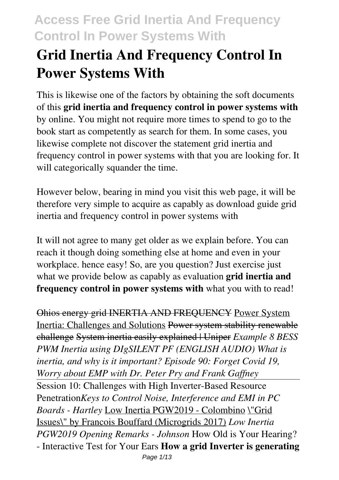# **Grid Inertia And Frequency Control In Power Systems With**

This is likewise one of the factors by obtaining the soft documents of this **grid inertia and frequency control in power systems with** by online. You might not require more times to spend to go to the book start as competently as search for them. In some cases, you likewise complete not discover the statement grid inertia and frequency control in power systems with that you are looking for. It will categorically squander the time.

However below, bearing in mind you visit this web page, it will be therefore very simple to acquire as capably as download guide grid inertia and frequency control in power systems with

It will not agree to many get older as we explain before. You can reach it though doing something else at home and even in your workplace. hence easy! So, are you question? Just exercise just what we provide below as capably as evaluation **grid inertia and frequency control in power systems with** what you with to read!

Ohios energy grid INERTIA AND FREQUENCY Power System Inertia: Challenges and Solutions Power system stability renewable challenge System inertia easily explained | Uniper *Example 8 BESS PWM Inertia using DIgSILENT PF (ENGLISH AUDIO) What is inertia, and why is it important? Episode 90: Forget Covid 19, Worry about EMP with Dr. Peter Pry and Frank Gaffney* Session 10: Challenges with High Inverter-Based Resource Penetration*Keys to Control Noise, Interference and EMI in PC Boards - Hartley* Low Inertia PGW2019 - Colombino \"Grid Issues\" by Francois Bouffard (Microgrids 2017) *Low Inertia PGW2019 Opening Remarks - Johnson* How Old is Your Hearing? - Interactive Test for Your Ears **How a grid Inverter is generating**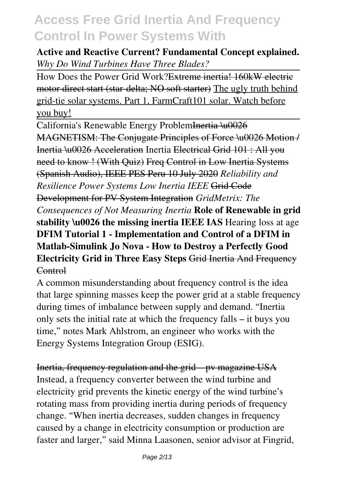#### **Active and Reactive Current? Fundamental Concept explained.** *Why Do Wind Turbines Have Three Blades?*

How Does the Power Grid Work?Extreme inertia! 160kW electric motor direct start (star-delta; NO soft starter) The ugly truth behind grid-tie solar systems. Part 1, FarmCraft101 solar. Watch before you buy!

California's Renewable Energy ProblemInertia \u0026 MAGNETISM: The Conjugate Principles of Force \u0026 Motion / Inertia \u0026 Acceleration Inertia Electrical Grid 101 : All you need to know ! (With Quiz) Freq Control in Low Inertia Systems (Spanish Audio), IEEE PES Peru 10 July 2020 *Reliability and Resilience Power Systems Low Inertia IEEE* Grid Code Development for PV System Integration *GridMetrix: The Consequences of Not Measuring Inertia* **Role of Renewable in grid stability \u0026 the missing inertia IEEE IAS** Hearing loss at age **DFIM Tutorial 1 - Implementation and Control of a DFIM in Matlab-Simulink Jo Nova - How to Destroy a Perfectly Good Electricity Grid in Three Easy Steps** Grid Inertia And Frequency Control

A common misunderstanding about frequency control is the idea that large spinning masses keep the power grid at a stable frequency during times of imbalance between supply and demand. "Inertia only sets the initial rate at which the frequency falls – it buys you time," notes Mark Ahlstrom, an engineer who works with the Energy Systems Integration Group (ESIG).

Inertia, frequency regulation and the grid – pv magazine USA Instead, a frequency converter between the wind turbine and electricity grid prevents the kinetic energy of the wind turbine's rotating mass from providing inertia during periods of frequency change. "When inertia decreases, sudden changes in frequency caused by a change in electricity consumption or production are faster and larger," said Minna Laasonen, senior advisor at Fingrid,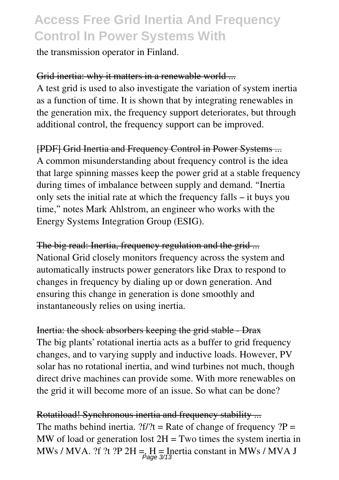the transmission operator in Finland.

#### Grid inertia: why it matters in a renewable world ...

A test grid is used to also investigate the variation of system inertia as a function of time. It is shown that by integrating renewables in the generation mix, the frequency support deteriorates, but through additional control, the frequency support can be improved.

[PDF] Grid Inertia and Frequency Control in Power Systems ... A common misunderstanding about frequency control is the idea that large spinning masses keep the power grid at a stable frequency during times of imbalance between supply and demand. "Inertia only sets the initial rate at which the frequency falls – it buys you time," notes Mark Ahlstrom, an engineer who works with the Energy Systems Integration Group (ESIG).

The big read: Inertia, frequency regulation and the grid ... National Grid closely monitors frequency across the system and automatically instructs power generators like Drax to respond to changes in frequency by dialing up or down generation. And ensuring this change in generation is done smoothly and instantaneously relies on using inertia.

Inertia: the shock absorbers keeping the grid stable - Drax The big plants' rotational inertia acts as a buffer to grid frequency changes, and to varying supply and inductive loads. However, PV solar has no rotational inertia, and wind turbines not much, though direct drive machines can provide some. With more renewables on the grid it will become more of an issue. So what can be done?

Rotatiload! Synchronous inertia and frequency stability ... The maths behind inertia.  $?f$  ?! = Rate of change of frequency ?P = MW of load or generation lost  $2H = Two$  times the system inertia in MWs / MVA. ?f ?t ?P 2H = H = Inertia constant in MWs / MVA J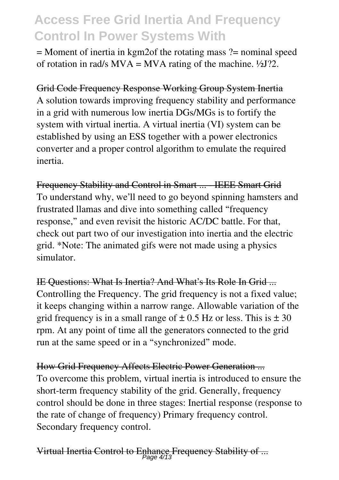$=$  Moment of inertia in kgm2of the rotating mass  $?$  = nominal speed of rotation in rad/s  $MVA = MVA$  rating of the machine.  $\frac{1}{2}J$ ?2.

Grid Code Frequency Response Working Group System Inertia A solution towards improving frequency stability and performance in a grid with numerous low inertia DGs/MGs is to fortify the system with virtual inertia. A virtual inertia (VI) system can be established by using an ESS together with a power electronics converter and a proper control algorithm to emulate the required inertia.

Frequency Stability and Control in Smart ... - IEEE Smart Grid To understand why, we'll need to go beyond spinning hamsters and frustrated llamas and dive into something called "frequency response," and even revisit the historic AC/DC battle. For that, check out part two of our investigation into inertia and the electric grid. \*Note: The animated gifs were not made using a physics simulator.

IE Questions: What Is Inertia? And What's Its Role In Grid ... Controlling the Frequency. The grid frequency is not a fixed value; it keeps changing within a narrow range. Allowable variation of the grid frequency is in a small range of  $\pm$  0.5 Hz or less. This is  $\pm$  30 rpm. At any point of time all the generators connected to the grid run at the same speed or in a "synchronized" mode.

How Grid Frequency Affects Electric Power Generation ... To overcome this problem, virtual inertia is introduced to ensure the short-term frequency stability of the grid. Generally, frequency control should be done in three stages: Inertial response (response to the rate of change of frequency) Primary frequency control. Secondary frequency control.

Virtual Inertia Control to Enhance Frequency Stability of ... Page 4/13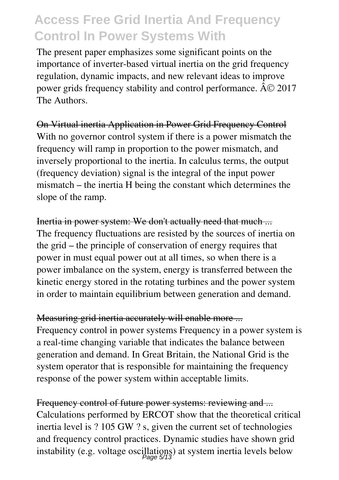The present paper emphasizes some significant points on the importance of inverter-based virtual inertia on the grid frequency regulation, dynamic impacts, and new relevant ideas to improve power grids frequency stability and control performance.  $\widehat{A} \odot 2017$ The Authors.

On Virtual inertia Application in Power Grid Frequency Control With no governor control system if there is a power mismatch the frequency will ramp in proportion to the power mismatch, and inversely proportional to the inertia. In calculus terms, the output (frequency deviation) signal is the integral of the input power mismatch – the inertia H being the constant which determines the slope of the ramp.

Inertia in power system: We don't actually need that much ... The frequency fluctuations are resisted by the sources of inertia on the grid – the principle of conservation of energy requires that power in must equal power out at all times, so when there is a power imbalance on the system, energy is transferred between the kinetic energy stored in the rotating turbines and the power system in order to maintain equilibrium between generation and demand.

#### Measuring grid inertia accurately will enable more ...

Frequency control in power systems Frequency in a power system is a real-time changing variable that indicates the balance between generation and demand. In Great Britain, the National Grid is the system operator that is responsible for maintaining the frequency response of the power system within acceptable limits.

Frequency control of future power systems: reviewing and ... Calculations performed by ERCOT show that the theoretical critical inertia level is ? 105 GW ? s, given the current set of technologies and frequency control practices. Dynamic studies have shown grid instability (e.g. voltage oscillations) at system inertia levels below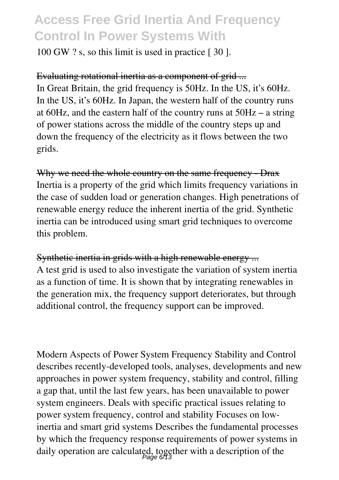100 GW ? s, so this limit is used in practice [ 30 ].

#### Evaluating rotational inertia as a component of grid ...

In Great Britain, the grid frequency is 50Hz. In the US, it's 60Hz. In the US, it's 60Hz. In Japan, the western half of the country runs at 60Hz, and the eastern half of the country runs at 50Hz – a string of power stations across the middle of the country steps up and down the frequency of the electricity as it flows between the two grids.

Why we need the whole country on the same frequency - Drax Inertia is a property of the grid which limits frequency variations in the case of sudden load or generation changes. High penetrations of renewable energy reduce the inherent inertia of the grid. Synthetic inertia can be introduced using smart grid techniques to overcome this problem.

Synthetic inertia in grids with a high renewable energy ... A test grid is used to also investigate the variation of system inertia as a function of time. It is shown that by integrating renewables in the generation mix, the frequency support deteriorates, but through additional control, the frequency support can be improved.

Modern Aspects of Power System Frequency Stability and Control describes recently-developed tools, analyses, developments and new approaches in power system frequency, stability and control, filling a gap that, until the last few years, has been unavailable to power system engineers. Deals with specific practical issues relating to power system frequency, control and stability Focuses on lowinertia and smart grid systems Describes the fundamental processes by which the frequency response requirements of power systems in daily operation are calculated, together with a description of the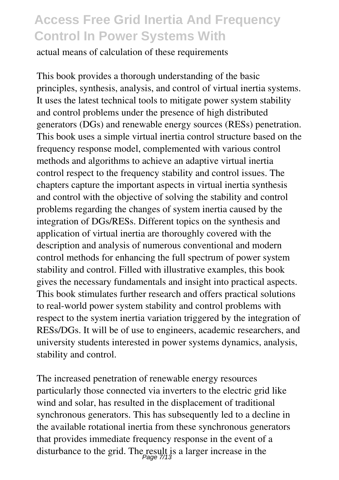actual means of calculation of these requirements

This book provides a thorough understanding of the basic principles, synthesis, analysis, and control of virtual inertia systems. It uses the latest technical tools to mitigate power system stability and control problems under the presence of high distributed generators (DGs) and renewable energy sources (RESs) penetration. This book uses a simple virtual inertia control structure based on the frequency response model, complemented with various control methods and algorithms to achieve an adaptive virtual inertia control respect to the frequency stability and control issues. The chapters capture the important aspects in virtual inertia synthesis and control with the objective of solving the stability and control problems regarding the changes of system inertia caused by the integration of DGs/RESs. Different topics on the synthesis and application of virtual inertia are thoroughly covered with the description and analysis of numerous conventional and modern control methods for enhancing the full spectrum of power system stability and control. Filled with illustrative examples, this book gives the necessary fundamentals and insight into practical aspects. This book stimulates further research and offers practical solutions to real-world power system stability and control problems with respect to the system inertia variation triggered by the integration of RESs/DGs. It will be of use to engineers, academic researchers, and university students interested in power systems dynamics, analysis, stability and control.

The increased penetration of renewable energy resources particularly those connected via inverters to the electric grid like wind and solar, has resulted in the displacement of traditional synchronous generators. This has subsequently led to a decline in the available rotational inertia from these synchronous generators that provides immediate frequency response in the event of a disturbance to the grid. The result is a larger increase in the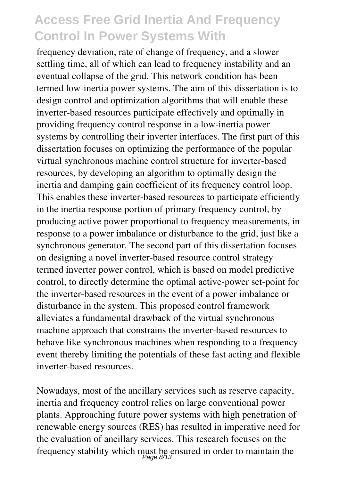frequency deviation, rate of change of frequency, and a slower settling time, all of which can lead to frequency instability and an eventual collapse of the grid. This network condition has been termed low-inertia power systems. The aim of this dissertation is to design control and optimization algorithms that will enable these inverter-based resources participate effectively and optimally in providing frequency control response in a low-inertia power systems by controlling their inverter interfaces. The first part of this dissertation focuses on optimizing the performance of the popular virtual synchronous machine control structure for inverter-based resources, by developing an algorithm to optimally design the inertia and damping gain coefficient of its frequency control loop. This enables these inverter-based resources to participate efficiently in the inertia response portion of primary frequency control, by producing active power proportional to frequency measurements, in response to a power imbalance or disturbance to the grid, just like a synchronous generator. The second part of this dissertation focuses on designing a novel inverter-based resource control strategy termed inverter power control, which is based on model predictive control, to directly determine the optimal active-power set-point for the inverter-based resources in the event of a power imbalance or disturbance in the system. This proposed control framework alleviates a fundamental drawback of the virtual synchronous machine approach that constrains the inverter-based resources to behave like synchronous machines when responding to a frequency event thereby limiting the potentials of these fast acting and flexible inverter-based resources.

Nowadays, most of the ancillary services such as reserve capacity, inertia and frequency control relies on large conventional power plants. Approaching future power systems with high penetration of renewable energy sources (RES) has resulted in imperative need for the evaluation of ancillary services. This research focuses on the frequency stability which must be ensured in order to maintain the Page 8/13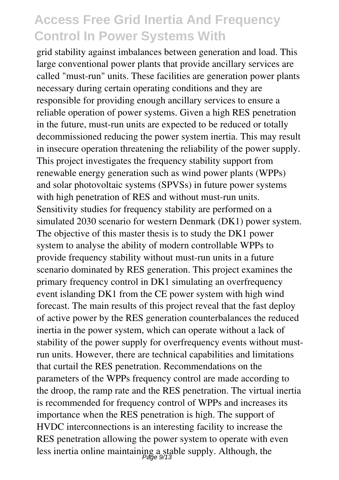grid stability against imbalances between generation and load. This large conventional power plants that provide ancillary services are called "must-run" units. These facilities are generation power plants necessary during certain operating conditions and they are responsible for providing enough ancillary services to ensure a reliable operation of power systems. Given a high RES penetration in the future, must-run units are expected to be reduced or totally decommissioned reducing the power system inertia. This may result in insecure operation threatening the reliability of the power supply. This project investigates the frequency stability support from renewable energy generation such as wind power plants (WPPs) and solar photovoltaic systems (SPVSs) in future power systems with high penetration of RES and without must-run units. Sensitivity studies for frequency stability are performed on a simulated 2030 scenario for western Denmark (DK1) power system. The objective of this master thesis is to study the DK1 power system to analyse the ability of modern controllable WPPs to provide frequency stability without must-run units in a future scenario dominated by RES generation. This project examines the primary frequency control in DK1 simulating an overfrequency event islanding DK1 from the CE power system with high wind forecast. The main results of this project reveal that the fast deploy of active power by the RES generation counterbalances the reduced inertia in the power system, which can operate without a lack of stability of the power supply for overfrequency events without mustrun units. However, there are technical capabilities and limitations that curtail the RES penetration. Recommendations on the parameters of the WPPs frequency control are made according to the droop, the ramp rate and the RES penetration. The virtual inertia is recommended for frequency control of WPPs and increases its importance when the RES penetration is high. The support of HVDC interconnections is an interesting facility to increase the RES penetration allowing the power system to operate with even less inertia online maintaining a stable supply. Although, the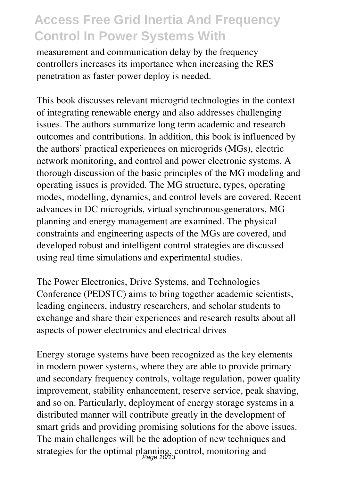measurement and communication delay by the frequency controllers increases its importance when increasing the RES penetration as faster power deploy is needed.

This book discusses relevant microgrid technologies in the context of integrating renewable energy and also addresses challenging issues. The authors summarize long term academic and research outcomes and contributions. In addition, this book is influenced by the authors' practical experiences on microgrids (MGs), electric network monitoring, and control and power electronic systems. A thorough discussion of the basic principles of the MG modeling and operating issues is provided. The MG structure, types, operating modes, modelling, dynamics, and control levels are covered. Recent advances in DC microgrids, virtual synchronousgenerators, MG planning and energy management are examined. The physical constraints and engineering aspects of the MGs are covered, and developed robust and intelligent control strategies are discussed using real time simulations and experimental studies.

The Power Electronics, Drive Systems, and Technologies Conference (PEDSTC) aims to bring together academic scientists, leading engineers, industry researchers, and scholar students to exchange and share their experiences and research results about all aspects of power electronics and electrical drives

Energy storage systems have been recognized as the key elements in modern power systems, where they are able to provide primary and secondary frequency controls, voltage regulation, power quality improvement, stability enhancement, reserve service, peak shaving, and so on. Particularly, deployment of energy storage systems in a distributed manner will contribute greatly in the development of smart grids and providing promising solutions for the above issues. The main challenges will be the adoption of new techniques and strategies for the optimal planning, control, monitoring and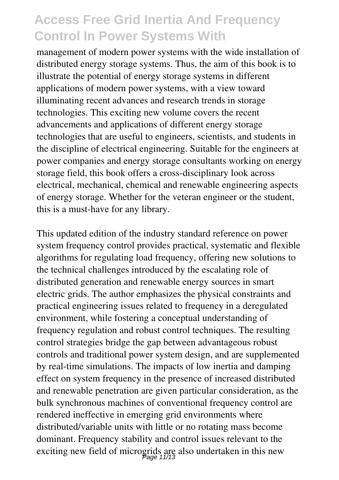management of modern power systems with the wide installation of distributed energy storage systems. Thus, the aim of this book is to illustrate the potential of energy storage systems in different applications of modern power systems, with a view toward illuminating recent advances and research trends in storage technologies. This exciting new volume covers the recent advancements and applications of different energy storage technologies that are useful to engineers, scientists, and students in the discipline of electrical engineering. Suitable for the engineers at power companies and energy storage consultants working on energy storage field, this book offers a cross-disciplinary look across electrical, mechanical, chemical and renewable engineering aspects of energy storage. Whether for the veteran engineer or the student, this is a must-have for any library.

This updated edition of the industry standard reference on power system frequency control provides practical, systematic and flexible algorithms for regulating load frequency, offering new solutions to the technical challenges introduced by the escalating role of distributed generation and renewable energy sources in smart electric grids. The author emphasizes the physical constraints and practical engineering issues related to frequency in a deregulated environment, while fostering a conceptual understanding of frequency regulation and robust control techniques. The resulting control strategies bridge the gap between advantageous robust controls and traditional power system design, and are supplemented by real-time simulations. The impacts of low inertia and damping effect on system frequency in the presence of increased distributed and renewable penetration are given particular consideration, as the bulk synchronous machines of conventional frequency control are rendered ineffective in emerging grid environments where distributed/variable units with little or no rotating mass become dominant. Frequency stability and control issues relevant to the exciting new field of microgrids are also undertaken in this new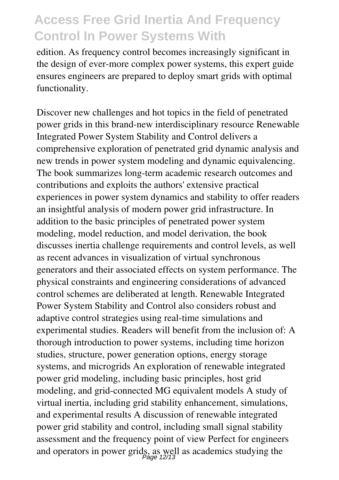edition. As frequency control becomes increasingly significant in the design of ever-more complex power systems, this expert guide ensures engineers are prepared to deploy smart grids with optimal functionality.

Discover new challenges and hot topics in the field of penetrated power grids in this brand-new interdisciplinary resource Renewable Integrated Power System Stability and Control delivers a comprehensive exploration of penetrated grid dynamic analysis and new trends in power system modeling and dynamic equivalencing. The book summarizes long-term academic research outcomes and contributions and exploits the authors' extensive practical experiences in power system dynamics and stability to offer readers an insightful analysis of modern power grid infrastructure. In addition to the basic principles of penetrated power system modeling, model reduction, and model derivation, the book discusses inertia challenge requirements and control levels, as well as recent advances in visualization of virtual synchronous generators and their associated effects on system performance. The physical constraints and engineering considerations of advanced control schemes are deliberated at length. Renewable Integrated Power System Stability and Control also considers robust and adaptive control strategies using real-time simulations and experimental studies. Readers will benefit from the inclusion of: A thorough introduction to power systems, including time horizon studies, structure, power generation options, energy storage systems, and microgrids An exploration of renewable integrated power grid modeling, including basic principles, host grid modeling, and grid-connected MG equivalent models A study of virtual inertia, including grid stability enhancement, simulations, and experimental results A discussion of renewable integrated power grid stability and control, including small signal stability assessment and the frequency point of view Perfect for engineers and operators in power grids, as well as academics studying the